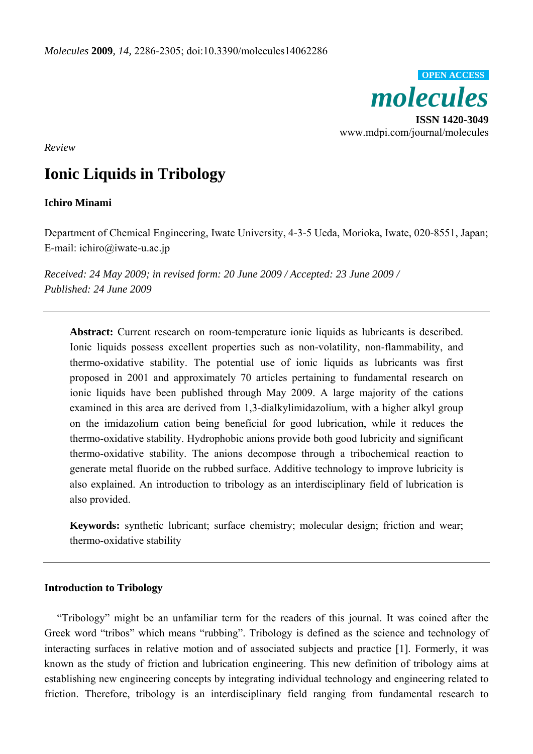

*Review* 

# **Ionic Liquids in Tribology**

**Ichiro Minami** 

Department of Chemical Engineering, Iwate University, 4-3-5 Ueda, Morioka, Iwate, 020-8551, Japan; E-mail: ichiro@iwate-u.ac.jp

*Received: 24 May 2009; in revised form: 20 June 2009 / Accepted: 23 June 2009 / Published: 24 June 2009* 

**Abstract:** Current research on room-temperature ionic liquids as lubricants is described. Ionic liquids possess excellent properties such as non-volatility, non-flammability, and thermo-oxidative stability. The potential use of ionic liquids as lubricants was first proposed in 2001 and approximately 70 articles pertaining to fundamental research on ionic liquids have been published through May 2009. A large majority of the cations examined in this area are derived from 1,3-dialkylimidazolium, with a higher alkyl group on the imidazolium cation being beneficial for good lubrication, while it reduces the thermo-oxidative stability. Hydrophobic anions provide both good lubricity and significant thermo-oxidative stability. The anions decompose through a tribochemical reaction to generate metal fluoride on the rubbed surface. Additive technology to improve lubricity is also explained. An introduction to tribology as an interdisciplinary field of lubrication is also provided.

**Keywords:** synthetic lubricant; surface chemistry; molecular design; friction and wear; thermo-oxidative stability

# **Introduction to Tribology**

"Tribology" might be an unfamiliar term for the readers of this journal. It was coined after the Greek word "tribos" which means "rubbing". Tribology is defined as the science and technology of interacting surfaces in relative motion and of associated subjects and practice [1]. Formerly, it was known as the study of friction and lubrication engineering. This new definition of tribology aims at establishing new engineering concepts by integrating individual technology and engineering related to friction. Therefore, tribology is an interdisciplinary field ranging from fundamental research to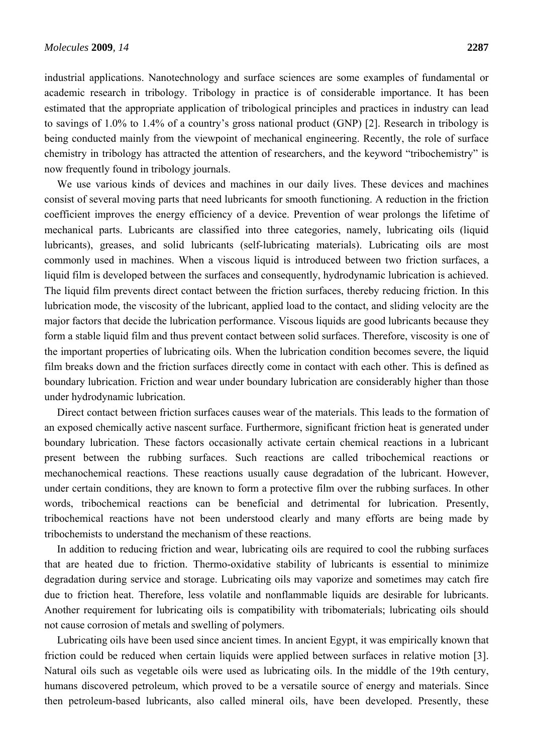industrial applications. Nanotechnology and surface sciences are some examples of fundamental or academic research in tribology. Tribology in practice is of considerable importance. It has been estimated that the appropriate application of tribological principles and practices in industry can lead to savings of 1.0% to 1.4% of a country's gross national product (GNP) [2]. Research in tribology is being conducted mainly from the viewpoint of mechanical engineering. Recently, the role of surface chemistry in tribology has attracted the attention of researchers, and the keyword "tribochemistry" is now frequently found in tribology journals.

We use various kinds of devices and machines in our daily lives. These devices and machines consist of several moving parts that need lubricants for smooth functioning. A reduction in the friction coefficient improves the energy efficiency of a device. Prevention of wear prolongs the lifetime of mechanical parts. Lubricants are classified into three categories, namely, lubricating oils (liquid lubricants), greases, and solid lubricants (self-lubricating materials). Lubricating oils are most commonly used in machines. When a viscous liquid is introduced between two friction surfaces, a liquid film is developed between the surfaces and consequently, hydrodynamic lubrication is achieved. The liquid film prevents direct contact between the friction surfaces, thereby reducing friction. In this lubrication mode, the viscosity of the lubricant, applied load to the contact, and sliding velocity are the major factors that decide the lubrication performance. Viscous liquids are good lubricants because they form a stable liquid film and thus prevent contact between solid surfaces. Therefore, viscosity is one of the important properties of lubricating oils. When the lubrication condition becomes severe, the liquid film breaks down and the friction surfaces directly come in contact with each other. This is defined as boundary lubrication. Friction and wear under boundary lubrication are considerably higher than those under hydrodynamic lubrication.

Direct contact between friction surfaces causes wear of the materials. This leads to the formation of an exposed chemically active nascent surface. Furthermore, significant friction heat is generated under boundary lubrication. These factors occasionally activate certain chemical reactions in a lubricant present between the rubbing surfaces. Such reactions are called tribochemical reactions or mechanochemical reactions. These reactions usually cause degradation of the lubricant. However, under certain conditions, they are known to form a protective film over the rubbing surfaces. In other words, tribochemical reactions can be beneficial and detrimental for lubrication. Presently, tribochemical reactions have not been understood clearly and many efforts are being made by tribochemists to understand the mechanism of these reactions.

In addition to reducing friction and wear, lubricating oils are required to cool the rubbing surfaces that are heated due to friction. Thermo-oxidative stability of lubricants is essential to minimize degradation during service and storage. Lubricating oils may vaporize and sometimes may catch fire due to friction heat. Therefore, less volatile and nonflammable liquids are desirable for lubricants. Another requirement for lubricating oils is compatibility with tribomaterials; lubricating oils should not cause corrosion of metals and swelling of polymers.

Lubricating oils have been used since ancient times. In ancient Egypt, it was empirically known that friction could be reduced when certain liquids were applied between surfaces in relative motion [3]. Natural oils such as vegetable oils were used as lubricating oils. In the middle of the 19th century, humans discovered petroleum, which proved to be a versatile source of energy and materials. Since then petroleum-based lubricants, also called mineral oils, have been developed. Presently, these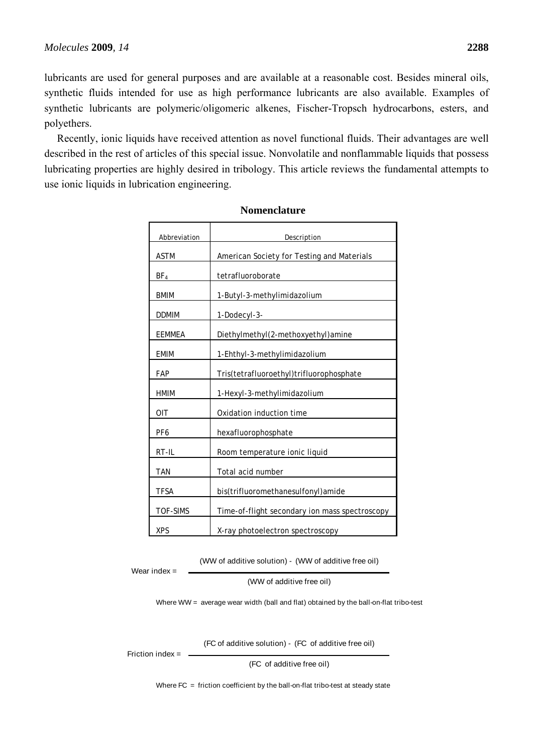lubricants are used for general purposes and are available at a reasonable cost. Besides mineral oils, synthetic fluids intended for use as high performance lubricants are also available. Examples of synthetic lubricants are polymeric/oligomeric alkenes, Fischer-Tropsch hydrocarbons, esters, and polyethers.

Recently, ionic liquids have received attention as novel functional fluids. Their advantages are well described in the rest of articles of this special issue. Nonvolatile and nonflammable liquids that possess lubricating properties are highly desired in tribology. This article reviews the fundamental attempts to use ionic liquids in lubrication engineering.

| Abbreviation    | Description                                    |  |  |  |
|-----------------|------------------------------------------------|--|--|--|
| <b>ASTM</b>     | American Society for Testing and Materials     |  |  |  |
| BF <sub>4</sub> | tetrafluoroborate                              |  |  |  |
| <b>BMIM</b>     | 1-Butyl-3-methylimidazolium                    |  |  |  |
| <b>DDMIM</b>    | 1-Dodecyl-3-                                   |  |  |  |
| <b>EEMMEA</b>   | Diethylmethyl(2-methoxyethyl)amine             |  |  |  |
| <b>EMIM</b>     | 1-Ehthyl-3-methylimidazolium                   |  |  |  |
| FAP             | Tris(tetrafluoroethyl)trifluorophosphate       |  |  |  |
| <b>HMIM</b>     | 1-Hexyl-3-methylimidazolium                    |  |  |  |
| <b>OIT</b>      | Oxidation induction time                       |  |  |  |
| PF <sub>6</sub> | hexafluorophosphate                            |  |  |  |
| RT-IL           | Room temperature ionic liquid                  |  |  |  |
| <b>TAN</b>      | Total acid number                              |  |  |  |
| <b>TFSA</b>     | bis(trifluoromethanesulfonyl) amide            |  |  |  |
| <b>TOF-SIMS</b> | Time-of-flight secondary ion mass spectroscopy |  |  |  |
| <b>XPS</b>      | X-ray photoelectron spectroscopy               |  |  |  |

#### **Nomenclature**

(WW of additive solution) - (WW of additive free oil)

Wear index =

(WW of additive free oil)

Where WW = average wear width (ball and flat) obtained by the ball-on-flat tribo-test

Friction index =

(FC of additive solution) - (FC of additive free oil)

(FC of additive free oil)

Where  $FC = friction coefficient by the ball-on-flat tribo-test at steady state$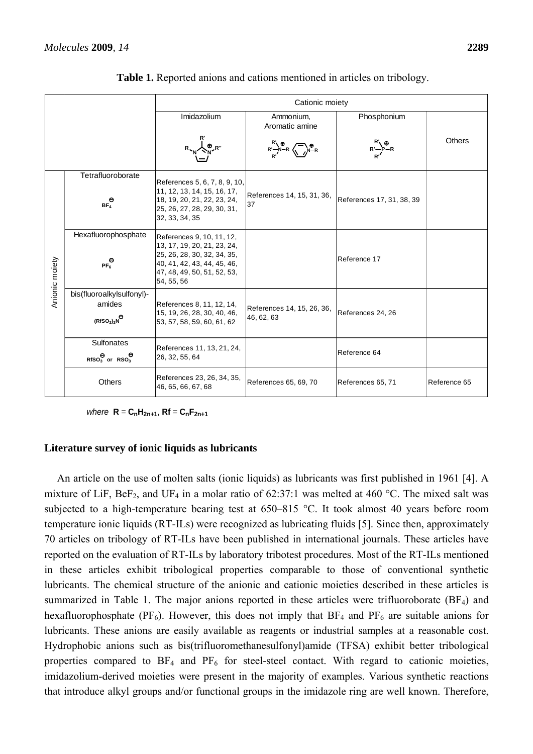|                |                                                                            | Cationic moiety                                                                                                                                                     |                                          |                                                            |              |  |
|----------------|----------------------------------------------------------------------------|---------------------------------------------------------------------------------------------------------------------------------------------------------------------|------------------------------------------|------------------------------------------------------------|--------------|--|
|                |                                                                            | Imidazolium                                                                                                                                                         | Ammonium,<br>Aromatic amine              | Phosphonium                                                |              |  |
|                |                                                                            | $R \setminus N^R$                                                                                                                                                   | $R - N - R$ $\bigoplus_{n=1}^{R} R$      | $R' \rightarrow R' \oplus R' \oplus R' \oplus R' \oplus R$ | Others       |  |
| Anionic moiety | Tetrafluoroborate<br>$BF_4$                                                | References 5, 6, 7, 8, 9, 10,<br>11, 12, 13, 14, 15, 16, 17,<br>18, 19, 20, 21, 22, 23, 24,<br>25, 26, 27, 28, 29, 30, 31,<br>32, 33, 34, 35                        | References 14, 15, 31, 36,<br>37         | References 17, 31, 38, 39                                  |              |  |
|                | Hexafluorophosphate<br>$\mathsf{PF}_6^\Theta$                              | References 9, 10, 11, 12,<br>13, 17, 19, 20, 21, 23, 24,<br>25, 26, 28, 30, 32, 34, 35,<br>40, 41, 42, 43, 44, 45, 46,<br>47, 48, 49, 50, 51, 52, 53,<br>54, 55, 56 |                                          | Reference 17                                               |              |  |
|                | bis(fluoroalkylsulfonyl)-<br>amides<br>(RfSO <sub>2</sub> ) <sub>2</sub> N | References 8, 11, 12, 14,<br>15, 19, 26, 28, 30, 40, 46,<br>53, 57, 58, 59, 60, 61, 62                                                                              | References 14, 15, 26, 36,<br>46, 62, 63 | References 24, 26                                          |              |  |
|                | Sulfonates<br>$RfSO3$ or $RSO3$                                            | References 11, 13, 21, 24,<br>26, 32, 55, 64                                                                                                                        |                                          | Reference 64                                               |              |  |
|                | <b>Others</b>                                                              | References 23, 26, 34, 35,<br>46, 65, 66, 67, 68                                                                                                                    | References 65, 69, 70                    | References 65, 71                                          | Reference 65 |  |

**Table 1.** Reported anions and cations mentioned in articles on tribology.

*where*  $R = C_0H_{2n+1}$ ,  $Rf = C_0F_{2n+1}$ 

# **Literature survey of ionic liquids as lubricants**

An article on the use of molten salts (ionic liquids) as lubricants was first published in 1961 [4]. A mixture of LiF, BeF<sub>2</sub>, and UF<sub>4</sub> in a molar ratio of 62:37:1 was melted at 460 °C. The mixed salt was subjected to a high-temperature bearing test at 650–815 °C. It took almost 40 years before room temperature ionic liquids (RT-ILs) were recognized as lubricating fluids [5]. Since then, approximately 70 articles on tribology of RT-ILs have been published in international journals. These articles have reported on the evaluation of RT-ILs by laboratory tribotest procedures. Most of the RT-ILs mentioned in these articles exhibit tribological properties comparable to those of conventional synthetic lubricants. The chemical structure of the anionic and cationic moieties described in these articles is summarized in Table 1. The major anions reported in these articles were trifluoroborate  $(BF_4)$  and hexafluorophosphate (PF<sub>6</sub>). However, this does not imply that  $BF_4$  and  $PF_6$  are suitable anions for lubricants. These anions are easily available as reagents or industrial samples at a reasonable cost. Hydrophobic anions such as bis(trifluoromethanesulfonyl)amide (TFSA) exhibit better tribological properties compared to  $BF_4$  and  $PF_6$  for steel-steel contact. With regard to cationic moieties, imidazolium-derived moieties were present in the majority of examples. Various synthetic reactions that introduce alkyl groups and/or functional groups in the imidazole ring are well known. Therefore,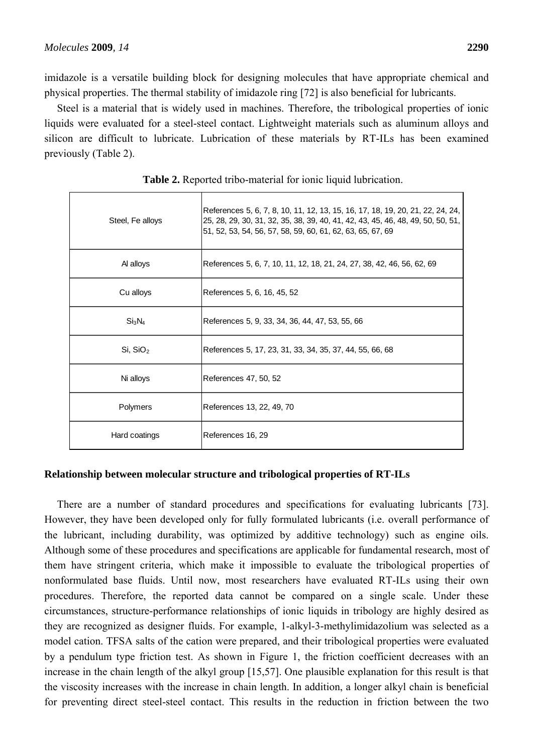imidazole is a versatile building block for designing molecules that have appropriate chemical and physical properties. The thermal stability of imidazole ring [72] is also beneficial for lubricants.

Steel is a material that is widely used in machines. Therefore, the tribological properties of ionic liquids were evaluated for a steel-steel contact. Lightweight materials such as aluminum alloys and silicon are difficult to lubricate. Lubrication of these materials by RT-ILs has been examined previously (Table 2).

| Steel, Fe alloys               | References 5, 6, 7, 8, 10, 11, 12, 13, 15, 16, 17, 18, 19, 20, 21, 22, 24, 24,<br>25, 28, 29, 30, 31, 32, 35, 38, 39, 40, 41, 42, 43, 45, 46, 48, 49, 50, 50, 51,<br>51, 52, 53, 54, 56, 57, 58, 59, 60, 61, 62, 63, 65, 67, 69 |
|--------------------------------|---------------------------------------------------------------------------------------------------------------------------------------------------------------------------------------------------------------------------------|
| Al alloys                      | References 5, 6, 7, 10, 11, 12, 18, 21, 24, 27, 38, 42, 46, 56, 62, 69                                                                                                                                                          |
| Cu alloys                      | References 5, 6, 16, 45, 52                                                                                                                                                                                                     |
| Si <sub>3</sub> N <sub>4</sub> | References 5, 9, 33, 34, 36, 44, 47, 53, 55, 66                                                                                                                                                                                 |
| Si, $SiO2$                     | References 5, 17, 23, 31, 33, 34, 35, 37, 44, 55, 66, 68                                                                                                                                                                        |
| Ni alloys                      | References 47, 50, 52                                                                                                                                                                                                           |
| Polymers                       | References 13, 22, 49, 70                                                                                                                                                                                                       |
| Hard coatings                  | References 16, 29                                                                                                                                                                                                               |

**Table 2.** Reported tribo-material for ionic liquid lubrication.

# **Relationship between molecular structure and tribological properties of RT-ILs**

There are a number of standard procedures and specifications for evaluating lubricants [73]. However, they have been developed only for fully formulated lubricants (i.e. overall performance of the lubricant, including durability, was optimized by additive technology) such as engine oils. Although some of these procedures and specifications are applicable for fundamental research, most of them have stringent criteria, which make it impossible to evaluate the tribological properties of nonformulated base fluids. Until now, most researchers have evaluated RT-ILs using their own procedures. Therefore, the reported data cannot be compared on a single scale. Under these circumstances, structure-performance relationships of ionic liquids in tribology are highly desired as they are recognized as designer fluids. For example, 1-alkyl-3-methylimidazolium was selected as a model cation. TFSA salts of the cation were prepared, and their tribological properties were evaluated by a pendulum type friction test. As shown in Figure 1, the friction coefficient decreases with an increase in the chain length of the alkyl group [15,57]. One plausible explanation for this result is that the viscosity increases with the increase in chain length. In addition, a longer alkyl chain is beneficial for preventing direct steel-steel contact. This results in the reduction in friction between the two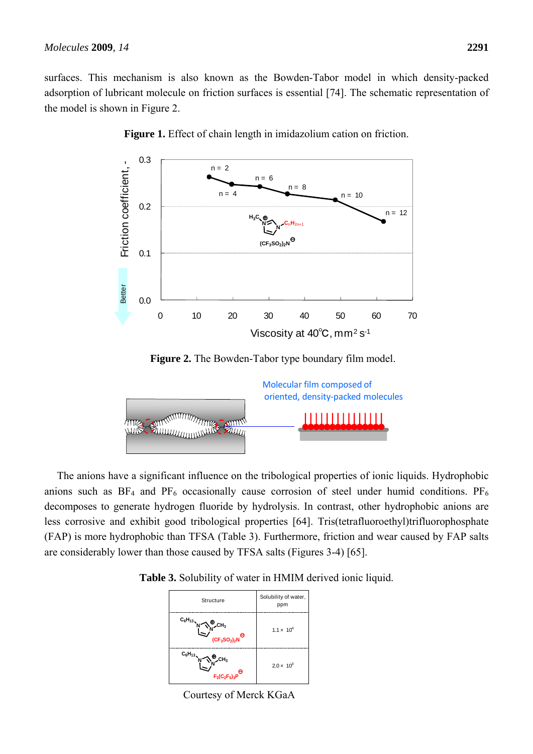surfaces. This mechanism is also known as the Bowden-Tabor model in which density-packed adsorption of lubricant molecule on friction surfaces is essential [74]. The schematic representation of the model is shown in Figure 2.





**Figure 2.** The Bowden-Tabor type boundary film model.



The anions have a significant influence on the tribological properties of ionic liquids. Hydrophobic anions such as  $BF_4$  and  $PF_6$  occasionally cause corrosion of steel under humid conditions.  $PF_6$ decomposes to generate hydrogen fluoride by hydrolysis. In contrast, other hydrophobic anions are less corrosive and exhibit good tribological properties [64]. Tris(tetrafluoroethyl)trifluorophosphate (FAP) is more hydrophobic than TFSA (Table 3). Furthermore, friction and wear caused by FAP salts are considerably lower than those caused by TFSA salts (Figures 3-4) [65].





Courtesy of Merck KGaA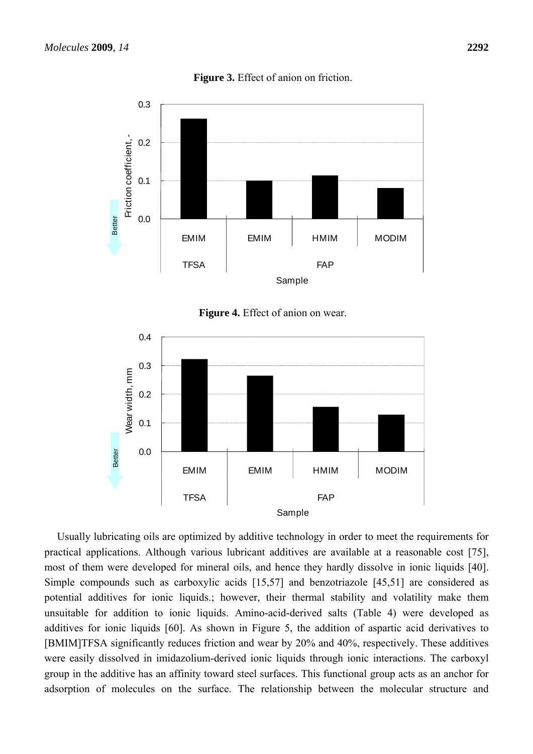

**Figure 3.** Effect of anion on friction.





Usually lubricating oils are optimized by additive technology in order to meet the requirements for practical applications. Although various lubricant additives are available at a reasonable cost [75], most of them were developed for mineral oils, and hence they hardly dissolve in ionic liquids [40]. Simple compounds such as carboxylic acids [15,57] and benzotriazole [45,51] are considered as potential additives for ionic liquids.; however, their thermal stability and volatility make them unsuitable for addition to ionic liquids. Amino-acid-derived salts (Table 4) were developed as additives for ionic liquids [60]. As shown in Figure 5, the addition of aspartic acid derivatives to [BMIM]TFSA significantly reduces friction and wear by 20% and 40%, respectively. These additives were easily dissolved in imidazolium-derived ionic liquids through ionic interactions. The carboxyl group in the additive has an affinity toward steel surfaces. This functional group acts as an anchor for adsorption of molecules on the surface. The relationship between the molecular structure and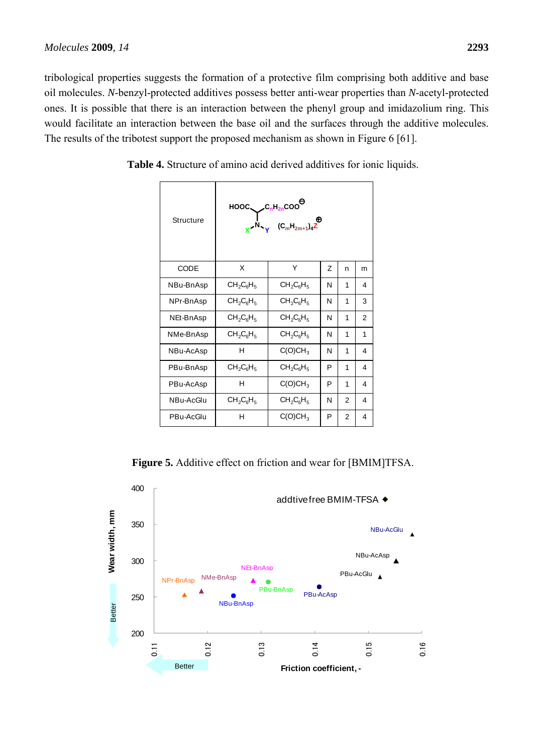tribological properties suggests the formation of a protective film comprising both additive and base oil molecules. *N*-benzyl-protected additives possess better anti-wear properties than *N*-acetyl-protected ones. It is possible that there is an interaction between the phenyl group and imidazolium ring. This would facilitate an interaction between the base oil and the surfaces through the additive molecules. The results of the tribotest support the proposed mechanism as shown in Figure 6 [61].

| <b>Structure</b> | $HOOC \sim C_nH_{2n}COO^{\Theta}$<br>$\int_{X \times N_{\gamma}}$ $(C_m H_{2m+1})_4 Z$ |                     |   |                |                |  |  |
|------------------|----------------------------------------------------------------------------------------|---------------------|---|----------------|----------------|--|--|
| <b>CODE</b>      | X                                                                                      | Υ                   | Z | n              | m              |  |  |
| NBu-BnAsp        | $CH_2C_6H_5$                                                                           | $CH_2C_6H_5$        | N | 1              | 4              |  |  |
| NPr-BnAsp        | $CH_2C_6H_5$                                                                           | $CH_2C_6H_5$        | N | 1              | 3              |  |  |
| NEt-BnAsp        | $CH_2C_6H_5$                                                                           | $CH_2C_6H_5$        | N | 1              | $\overline{2}$ |  |  |
| NMe-BnAsp        | $CH_2C_6H_5$                                                                           | $CH_2C_6H_5$        | N | 1              | 1              |  |  |
| NBu-AcAsp        | н                                                                                      | C(O)CH <sub>3</sub> | N | 1              | 4              |  |  |
| PBu-BnAsp        | $CH_2C_6H_5$                                                                           | $CH_2C_6H_5$        | P | 1              | 4              |  |  |
| PBu-AcAsp        | н                                                                                      | C(O)CH <sub>3</sub> | P | 1              | 4              |  |  |
| NBu-AcGlu        | $CH_2C_6H_5$                                                                           | $CH_2C_6H_5$        | N | $\mathcal{P}$  | 4              |  |  |
| PBu-AcGlu        | н                                                                                      | C(O)CH <sub>3</sub> | P | $\overline{2}$ | 4              |  |  |

**Table 4.** Structure of amino acid derived additives for ionic liquids.

**Figure 5.** Additive effect on friction and wear for [BMIM]TFSA.

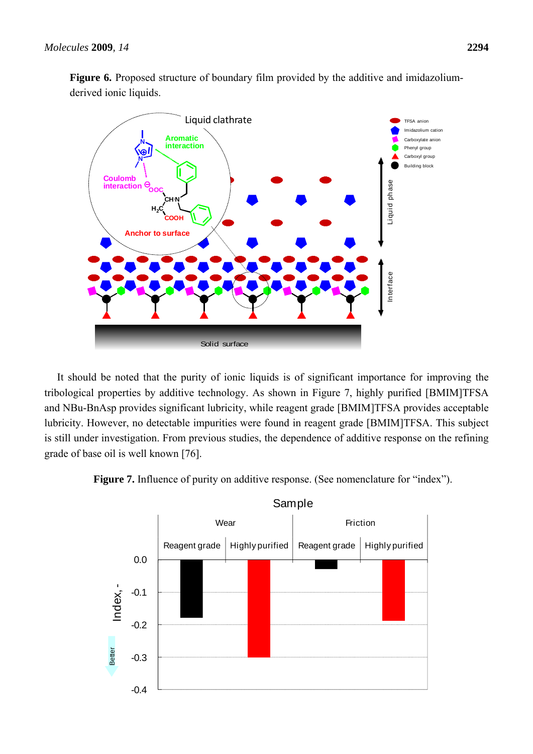

**Figure 6.** Proposed structure of boundary film provided by the additive and imidazoliumderived ionic liquids.

It should be noted that the purity of ionic liquids is of significant importance for improving the tribological properties by additive technology. As shown in Figure 7, highly purified [BMIM]TFSA and NBu-BnAsp provides significant lubricity, while reagent grade [BMIM]TFSA provides acceptable lubricity. However, no detectable impurities were found in reagent grade [BMIM]TFSA. This subject is still under investigation. From previous studies, the dependence of additive response on the refining grade of base oil is well known [76].

Solid surface



**Figure 7.** Influence of purity on additive response. (See nomenclature for "index").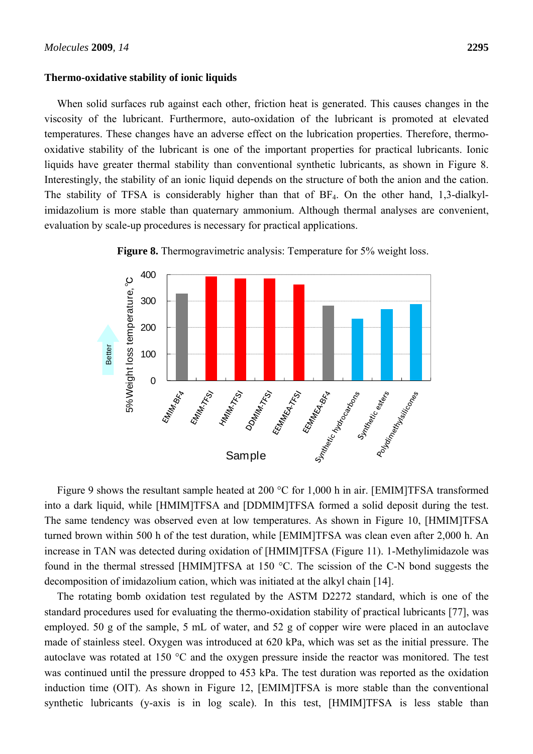#### **Thermo-oxidative stability of ionic liquids**

When solid surfaces rub against each other, friction heat is generated. This causes changes in the viscosity of the lubricant. Furthermore, auto-oxidation of the lubricant is promoted at elevated temperatures. These changes have an adverse effect on the lubrication properties. Therefore, thermooxidative stability of the lubricant is one of the important properties for practical lubricants. Ionic liquids have greater thermal stability than conventional synthetic lubricants, as shown in Figure 8. Interestingly, the stability of an ionic liquid depends on the structure of both the anion and the cation. The stability of TFSA is considerably higher than that of  $BF<sub>4</sub>$ . On the other hand, 1,3-dialkylimidazolium is more stable than quaternary ammonium. Although thermal analyses are convenient, evaluation by scale-up procedures is necessary for practical applications.





Figure 9 shows the resultant sample heated at 200 °C for 1,000 h in air. [EMIM]TFSA transformed into a dark liquid, while [HMIM]TFSA and [DDMIM]TFSA formed a solid deposit during the test. The same tendency was observed even at low temperatures. As shown in Figure 10, [HMIM]TFSA turned brown within 500 h of the test duration, while [EMIM]TFSA was clean even after 2,000 h. An increase in TAN was detected during oxidation of [HMIM]TFSA (Figure 11). 1-Methylimidazole was found in the thermal stressed [HMIM]TFSA at 150 °C. The scission of the C-N bond suggests the decomposition of imidazolium cation, which was initiated at the alkyl chain [14].

The rotating bomb oxidation test regulated by the ASTM D2272 standard, which is one of the standard procedures used for evaluating the thermo-oxidation stability of practical lubricants [77], was employed. 50 g of the sample, 5 mL of water, and 52 g of copper wire were placed in an autoclave made of stainless steel. Oxygen was introduced at 620 kPa, which was set as the initial pressure. The autoclave was rotated at 150 °C and the oxygen pressure inside the reactor was monitored. The test was continued until the pressure dropped to 453 kPa. The test duration was reported as the oxidation induction time (OIT). As shown in Figure 12, [EMIM]TFSA is more stable than the conventional synthetic lubricants (y-axis is in log scale). In this test, [HMIM]TFSA is less stable than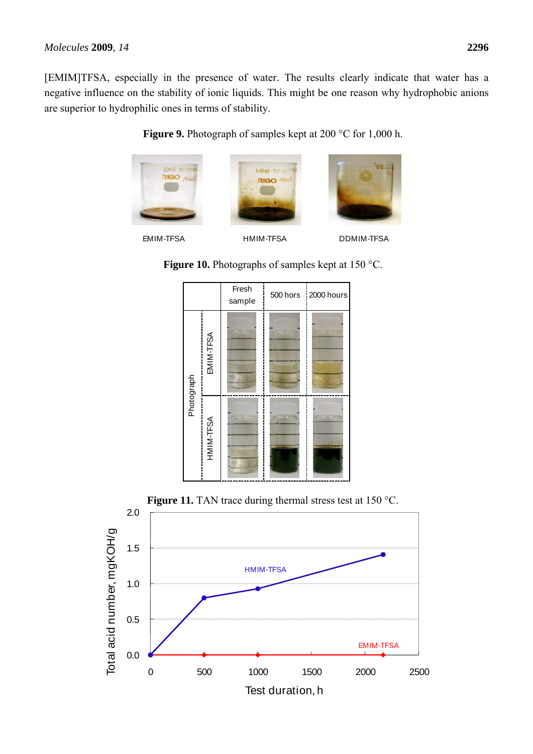[EMIM]TFSA, especially in the presence of water. The results clearly indicate that water has a negative influence on the stability of ionic liquids. This might be one reason why hydrophobic anions are superior to hydrophilic ones in terms of stability.

**Figure 9.** Photograph of samples kept at 200 °C for 1,000 h.



EMIM-TFSA HMIM-TFSA DDMIM-TFSA

Figure 10. Photographs of samples kept at 150 °C.





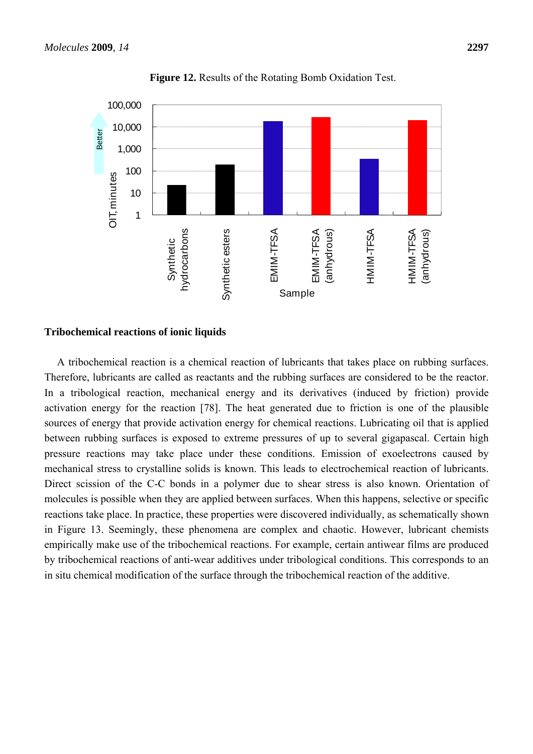

**Figure 12.** Results of the Rotating Bomb Oxidation Test.

#### **Tribochemical reactions of ionic liquids**

A tribochemical reaction is a chemical reaction of lubricants that takes place on rubbing surfaces. Therefore, lubricants are called as reactants and the rubbing surfaces are considered to be the reactor. In a tribological reaction, mechanical energy and its derivatives (induced by friction) provide activation energy for the reaction [78]. The heat generated due to friction is one of the plausible sources of energy that provide activation energy for chemical reactions. Lubricating oil that is applied between rubbing surfaces is exposed to extreme pressures of up to several gigapascal. Certain high pressure reactions may take place under these conditions. Emission of exoelectrons caused by mechanical stress to crystalline solids is known. This leads to electrochemical reaction of lubricants. Direct scission of the C-C bonds in a polymer due to shear stress is also known. Orientation of molecules is possible when they are applied between surfaces. When this happens, selective or specific reactions take place. In practice, these properties were discovered individually, as schematically shown in Figure 13. Seemingly, these phenomena are complex and chaotic. However, lubricant chemists empirically make use of the tribochemical reactions. For example, certain antiwear films are produced by tribochemical reactions of anti-wear additives under tribological conditions. This corresponds to an in situ chemical modification of the surface through the tribochemical reaction of the additive.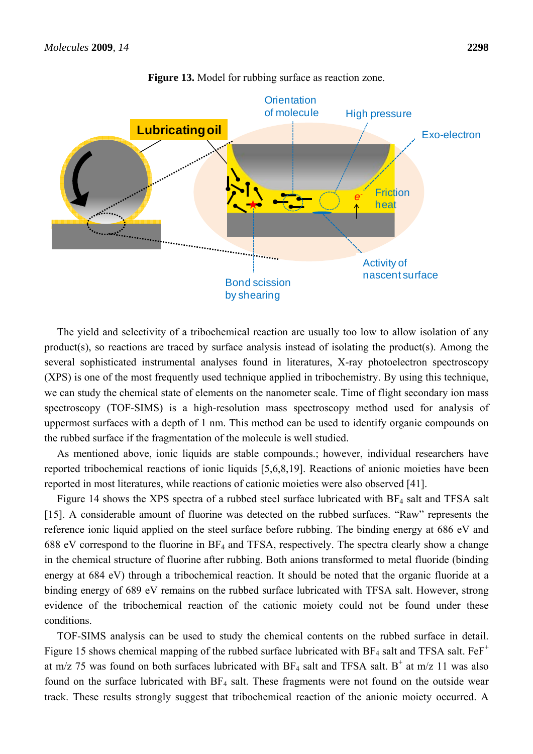

**Figure 13.** Model for rubbing surface as reaction zone.

The yield and selectivity of a tribochemical reaction are usually too low to allow isolation of any product(s), so reactions are traced by surface analysis instead of isolating the product(s). Among the several sophisticated instrumental analyses found in literatures, X-ray photoelectron spectroscopy (XPS) is one of the most frequently used technique applied in tribochemistry. By using this technique, we can study the chemical state of elements on the nanometer scale. Time of flight secondary ion mass spectroscopy (TOF-SIMS) is a high-resolution mass spectroscopy method used for analysis of uppermost surfaces with a depth of 1 nm. This method can be used to identify organic compounds on the rubbed surface if the fragmentation of the molecule is well studied.

As mentioned above, ionic liquids are stable compounds.; however, individual researchers have reported tribochemical reactions of ionic liquids [5,6,8,19]. Reactions of anionic moieties have been reported in most literatures, while reactions of cationic moieties were also observed [41].

Figure 14 shows the XPS spectra of a rubbed steel surface lubricated with BF4 salt and TFSA salt [15]. A considerable amount of fluorine was detected on the rubbed surfaces. "Raw" represents the reference ionic liquid applied on the steel surface before rubbing. The binding energy at 686 eV and 688 eV correspond to the fluorine in  $BF_4$  and TFSA, respectively. The spectra clearly show a change in the chemical structure of fluorine after rubbing. Both anions transformed to metal fluoride (binding energy at 684 eV) through a tribochemical reaction. It should be noted that the organic fluoride at a binding energy of 689 eV remains on the rubbed surface lubricated with TFSA salt. However, strong evidence of the tribochemical reaction of the cationic moiety could not be found under these conditions.

TOF-SIMS analysis can be used to study the chemical contents on the rubbed surface in detail. Figure 15 shows chemical mapping of the rubbed surface lubricated with BF<sub>4</sub> salt and TFSA salt. Fe $F^+$ at m/z 75 was found on both surfaces lubricated with  $BF_4$  salt and TFSA salt. B<sup>+</sup> at m/z 11 was also found on the surface lubricated with BF<sub>4</sub> salt. These fragments were not found on the outside wear track. These results strongly suggest that tribochemical reaction of the anionic moiety occurred. A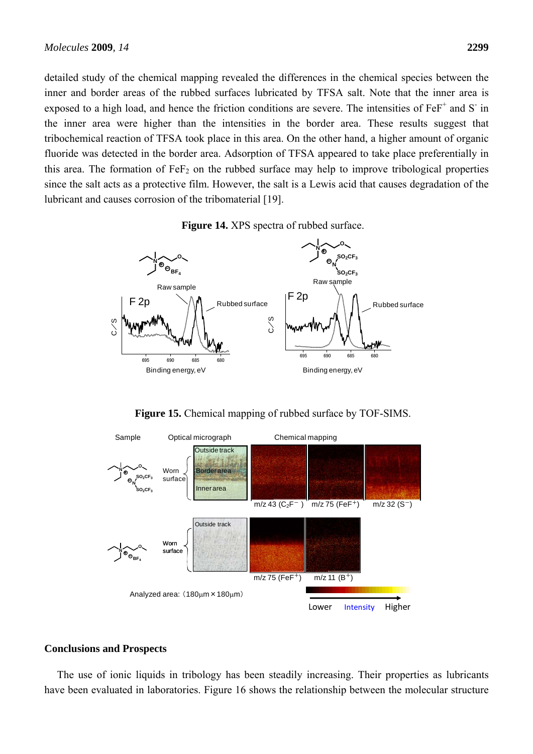detailed study of the chemical mapping revealed the differences in the chemical species between the inner and border areas of the rubbed surfaces lubricated by TFSA salt. Note that the inner area is exposed to a high load, and hence the friction conditions are severe. The intensities of  $F\text{eF}^+$  and S in the inner area were higher than the intensities in the border area. These results suggest that tribochemical reaction of TFSA took place in this area. On the other hand, a higher amount of organic fluoride was detected in the border area. Adsorption of TFSA appeared to take place preferentially in this area. The formation of  $FeF<sub>2</sub>$  on the rubbed surface may help to improve tribological properties since the salt acts as a protective film. However, the salt is a Lewis acid that causes degradation of the lubricant and causes corrosion of the tribomaterial [19].





**Figure 15.** Chemical mapping of rubbed surface by TOF-SIMS.



# **Conclusions and Prospects**

The use of ionic liquids in tribology has been steadily increasing. Their properties as lubricants have been evaluated in laboratories. Figure 16 shows the relationship between the molecular structure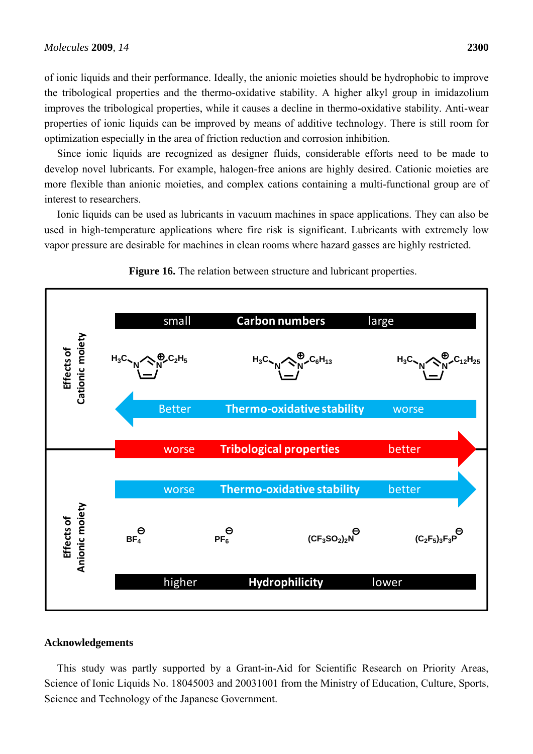of ionic liquids and their performance. Ideally, the anionic moieties should be hydrophobic to improve the tribological properties and the thermo-oxidative stability. A higher alkyl group in imidazolium improves the tribological properties, while it causes a decline in thermo-oxidative stability. Anti-wear properties of ionic liquids can be improved by means of additive technology. There is still room for optimization especially in the area of friction reduction and corrosion inhibition.

Since ionic liquids are recognized as designer fluids, considerable efforts need to be made to develop novel lubricants. For example, halogen-free anions are highly desired. Cationic moieties are more flexible than anionic moieties, and complex cations containing a multi-functional group are of interest to researchers.

Ionic liquids can be used as lubricants in vacuum machines in space applications. They can also be used in high-temperature applications where fire risk is significant. Lubricants with extremely low vapor pressure are desirable for machines in clean rooms where hazard gasses are highly restricted.



**Figure 16.** The relation between structure and lubricant properties.

# **Acknowledgements**

This study was partly supported by a Grant-in-Aid for Scientific Research on Priority Areas, Science of Ionic Liquids No. 18045003 and 20031001 from the Ministry of Education, Culture, Sports, Science and Technology of the Japanese Government.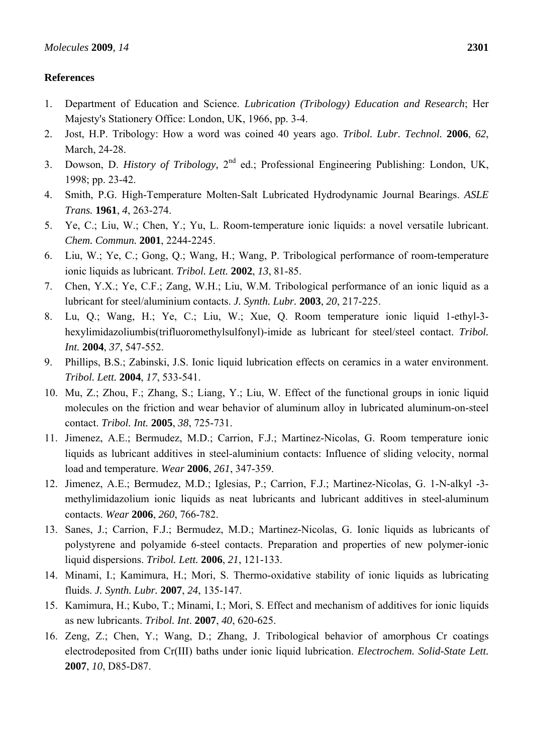# **References**

- 1. Department of Education and Science. *Lubrication (Tribology) Education and Research*; Her Majesty's Stationery Office: London, UK, 1966, pp. 3-4.
- 2. Jost, H.P. Tribology: How a word was coined 40 years ago. *Tribol. Lubr. Technol.* **2006**, *62*, March, 24-28.
- 3. Dowson, D. *History of Tribology,* 2nd ed.; Professional Engineering Publishing: London, UK, 1998; pp. 23-42.
- 4. Smith, P.G. High-Temperature Molten-Salt Lubricated Hydrodynamic Journal Bearings. *ASLE Trans.* **1961**, *4*, 263-274.
- 5. Ye, C.; Liu, W.; Chen, Y.; Yu, L. Room-temperature ionic liquids: a novel versatile lubricant. *Chem. Commun.* **2001**, 2244-2245.
- 6. Liu, W.; Ye, C.; Gong, Q.; Wang, H.; Wang, P. Tribological performance of room-temperature ionic liquids as lubricant. *Tribol. Lett.* **2002**, *13*, 81-85.
- 7. Chen, Y.X.; Ye, C.F.; Zang, W.H.; Liu, W.M. Tribological performance of an ionic liquid as a lubricant for steel/aluminium contacts. *J. Synth. Lubr.* **2003**, *20*, 217-225.
- 8. Lu, Q.; Wang, H.; Ye, C.; Liu, W.; Xue, Q. Room temperature ionic liquid 1-ethyl-3 hexylimidazoliumbis(trifluoromethylsulfonyl)-imide as lubricant for steel/steel contact. *Tribol. Int.* **2004**, *37*, 547-552.
- 9. Phillips, B.S.; Zabinski, J.S. Ionic liquid lubrication effects on ceramics in a water environment. *Tribol. Lett.* **2004**, *17*, 533-541.
- 10. Mu, Z.; Zhou, F.; Zhang, S.; Liang, Y.; Liu, W. Effect of the functional groups in ionic liquid molecules on the friction and wear behavior of aluminum alloy in lubricated aluminum-on-steel contact. *Tribol. Int.* **2005**, *38*, 725-731.
- 11. Jimenez, A.E.; Bermudez, M.D.; Carrion, F.J.; Martinez-Nicolas, G. Room temperature ionic liquids as lubricant additives in steel-aluminium contacts: Influence of sliding velocity, normal load and temperature. *Wear* **2006**, *261*, 347-359.
- 12. Jimenez, A.E.; Bermudez, M.D.; Iglesias, P.; Carrion, F.J.; Martinez-Nicolas, G. 1-N-alkyl -3 methylimidazolium ionic liquids as neat lubricants and lubricant additives in steel-aluminum contacts. *Wear* **2006**, *260*, 766-782.
- 13. Sanes, J.; Carrion, F.J.; Bermudez, M.D.; Martinez-Nicolas, G. Ionic liquids as lubricants of polystyrene and polyamide 6-steel contacts. Preparation and properties of new polymer-ionic liquid dispersions. *Tribol. Lett.* **2006**, *21*, 121-133.
- 14. Minami, I.; Kamimura, H.; Mori, S. Thermo-oxidative stability of ionic liquids as lubricating fluids. *J. Synth. Lubr.* **2007**, *24*, 135-147.
- 15. Kamimura, H.; Kubo, T.; Minami, I.; Mori, S. Effect and mechanism of additives for ionic liquids as new lubricants. *Tribol. Int*. **2007**, *40*, 620-625.
- 16. Zeng, Z.; Chen, Y.; Wang, D.; Zhang, J. Tribological behavior of amorphous Cr coatings electrodeposited from Cr(III) baths under ionic liquid lubrication. *Electrochem. Solid-State Lett.* **2007**, *10*, D85-D87.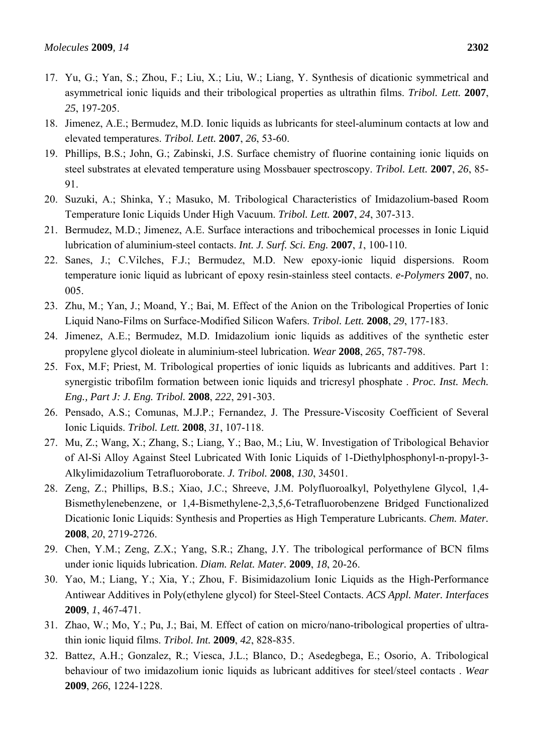- 17. Yu, G.; Yan, S.; Zhou, F.; Liu, X.; Liu, W.; Liang, Y. Synthesis of dicationic symmetrical and asymmetrical ionic liquids and their tribological properties as ultrathin films. *Tribol. Lett.* **2007**, *25*, 197-205.
- 18. Jimenez, A.E.; Bermudez, M.D. Ionic liquids as lubricants for steel-aluminum contacts at low and elevated temperatures. *Tribol. Lett.* **2007**, *26*, 53-60.
- 19. Phillips, B.S.; John, G.; Zabinski, J.S. Surface chemistry of fluorine containing ionic liquids on steel substrates at elevated temperature using Mossbauer spectroscopy. *Tribol. Lett.* **2007**, *26*, 85- 91.
- 20. Suzuki, A.; Shinka, Y.; Masuko, M. Tribological Characteristics of Imidazolium-based Room Temperature Ionic Liquids Under High Vacuum. *Tribol. Lett.* **2007**, *24*, 307-313.
- 21. Bermudez, M.D.; Jimenez, A.E. Surface interactions and tribochemical processes in Ionic Liquid lubrication of aluminium-steel contacts. *Int. J. Surf. Sci. Eng.* **2007**, *1*, 100-110.
- 22. Sanes, J.; C.Vilches, F.J.; Bermudez, M.D. New epoxy-ionic liquid dispersions. Room temperature ionic liquid as lubricant of epoxy resin-stainless steel contacts. *e-Polymers* **2007**, no. 005.
- 23. Zhu, M.; Yan, J.; Moand, Y.; Bai, M. Effect of the Anion on the Tribological Properties of Ionic Liquid Nano-Films on Surface-Modified Silicon Wafers. *Tribol. Lett.* **2008**, *29*, 177-183.
- 24. Jimenez, A.E.; Bermudez, M.D. Imidazolium ionic liquids as additives of the synthetic ester propylene glycol dioleate in aluminium-steel lubrication. *Wear* **2008**, *265*, 787-798.
- 25. Fox, M.F; Priest, M. Tribological properties of ionic liquids as lubricants and additives. Part 1: synergistic tribofilm formation between ionic liquids and tricresyl phosphate . *Proc. Inst. Mech. Eng., Part J: J. Eng. Tribol.* **2008**, *222*, 291-303.
- 26. Pensado, A.S.; Comunas, M.J.P.; Fernandez, J. The Pressure-Viscosity Coefficient of Several Ionic Liquids. *Tribol. Lett.* **2008**, *31*, 107-118.
- 27. Mu, Z.; Wang, X.; Zhang, S.; Liang, Y.; Bao, M.; Liu, W. Investigation of Tribological Behavior of Al-Si Alloy Against Steel Lubricated With Ionic Liquids of 1-Diethylphosphonyl-n-propyl-3- Alkylimidazolium Tetrafluoroborate. *J. Tribol.* **2008**, *130*, 34501.
- 28. Zeng, Z.; Phillips, B.S.; Xiao, J.C.; Shreeve, J.M. Polyfluoroalkyl, Polyethylene Glycol, 1,4- Bismethylenebenzene, or 1,4-Bismethylene-2,3,5,6-Tetrafluorobenzene Bridged Functionalized Dicationic Ionic Liquids: Synthesis and Properties as High Temperature Lubricants. *Chem. Mater.* **2008**, *20*, 2719-2726.
- 29. Chen, Y.M.; Zeng, Z.X.; Yang, S.R.; Zhang, J.Y. The tribological performance of BCN films under ionic liquids lubrication. *Diam. Relat. Mater.* **2009**, *18*, 20-26.
- 30. Yao, M.; Liang, Y.; Xia, Y.; Zhou, F. Bisimidazolium Ionic Liquids as the High-Performance Antiwear Additives in Poly(ethylene glycol) for Steel-Steel Contacts. *ACS Appl. Mater. Interfaces* **2009**, *1*, 467-471.
- 31. Zhao, W.; Mo, Y.; Pu, J.; Bai, M. Effect of cation on micro/nano-tribological properties of ultrathin ionic liquid films. *Tribol. Int.* **2009**, *42*, 828-835.
- 32. Battez, A.H.; Gonzalez, R.; Viesca, J.L.; Blanco, D.; Asedegbega, E.; Osorio, A. Tribological behaviour of two imidazolium ionic liquids as lubricant additives for steel/steel contacts . *Wear* **2009**, *266*, 1224-1228.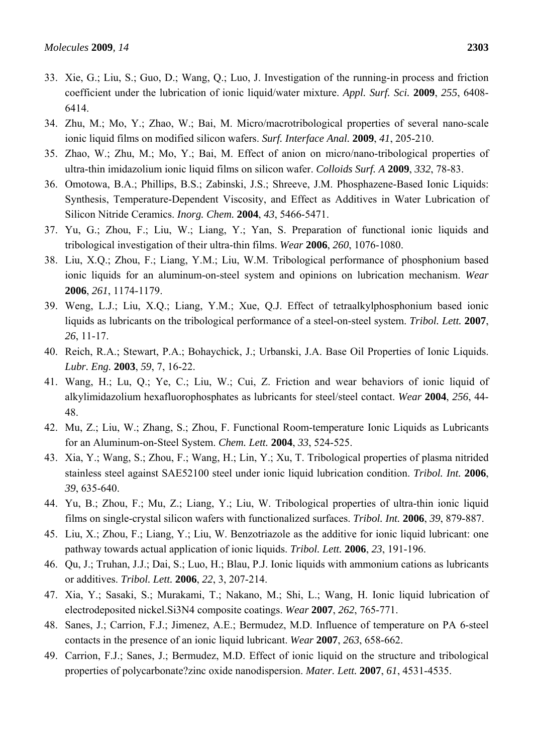- 33. Xie, G.; Liu, S.; Guo, D.; Wang, Q.; Luo, J. Investigation of the running-in process and friction coefficient under the lubrication of ionic liquid/water mixture. *Appl. Surf. Sci.* **2009**, *255*, 6408- 6414.
- 34. Zhu, M.; Mo, Y.; Zhao, W.; Bai, M. Micro/macrotribological properties of several nano-scale ionic liquid films on modified silicon wafers. *Surf. Interface Anal.* **2009**, *41*, 205-210.
- 35. Zhao, W.; Zhu, M.; Mo, Y.; Bai, M. Effect of anion on micro/nano-tribological properties of ultra-thin imidazolium ionic liquid films on silicon wafer. *Colloids Surf. A* **2009**, *332*, 78-83.
- 36. Omotowa, B.A.; Phillips, B.S.; Zabinski, J.S.; Shreeve, J.M. Phosphazene-Based Ionic Liquids: Synthesis, Temperature-Dependent Viscosity, and Effect as Additives in Water Lubrication of Silicon Nitride Ceramics. *Inorg. Chem.* **2004**, *43*, 5466-5471.
- 37. Yu, G.; Zhou, F.; Liu, W.; Liang, Y.; Yan, S. Preparation of functional ionic liquids and tribological investigation of their ultra-thin films. *Wear* **2006**, *260*, 1076-1080.
- 38. Liu, X.Q.; Zhou, F.; Liang, Y.M.; Liu, W.M. Tribological performance of phosphonium based ionic liquids for an aluminum-on-steel system and opinions on lubrication mechanism. *Wear* **2006**, *261*, 1174-1179.
- 39. Weng, L.J.; Liu, X.Q.; Liang, Y.M.; Xue, Q.J. Effect of tetraalkylphosphonium based ionic liquids as lubricants on the tribological performance of a steel-on-steel system. *Tribol. Lett.* **2007**, *26*, 11-17.
- 40. Reich, R.A.; Stewart, P.A.; Bohaychick, J.; Urbanski, J.A. Base Oil Properties of Ionic Liquids. *Lubr. Eng.* **2003**, *59*, 7, 16-22.
- 41. Wang, H.; Lu, Q.; Ye, C.; Liu, W.; Cui, Z. Friction and wear behaviors of ionic liquid of alkylimidazolium hexafluorophosphates as lubricants for steel/steel contact. *Wear* **2004**, *256*, 44- 48.
- 42. Mu, Z.; Liu, W.; Zhang, S.; Zhou, F. Functional Room-temperature Ionic Liquids as Lubricants for an Aluminum-on-Steel System. *Chem. Lett.* **2004**, *33*, 524-525.
- 43. Xia, Y.; Wang, S.; Zhou, F.; Wang, H.; Lin, Y.; Xu, T. Tribological properties of plasma nitrided stainless steel against SAE52100 steel under ionic liquid lubrication condition. *Tribol. Int.* **2006**, *39*, 635-640.
- 44. Yu, B.; Zhou, F.; Mu, Z.; Liang, Y.; Liu, W. Tribological properties of ultra-thin ionic liquid films on single-crystal silicon wafers with functionalized surfaces. *Tribol. Int.* **2006**, *39*, 879-887.
- 45. Liu, X.; Zhou, F.; Liang, Y.; Liu, W. Benzotriazole as the additive for ionic liquid lubricant: one pathway towards actual application of ionic liquids. *Tribol. Lett.* **2006**, *23*, 191-196.
- 46. Qu, J.; Truhan, J.J.; Dai, S.; Luo, H.; Blau, P.J. Ionic liquids with ammonium cations as lubricants or additives. *Tribol. Lett.* **2006**, *22*, 3, 207-214.
- 47. Xia, Y.; Sasaki, S.; Murakami, T.; Nakano, M.; Shi, L.; Wang, H. Ionic liquid lubrication of electrodeposited nickel.Si3N4 composite coatings. *Wear* **2007**, *262*, 765-771.
- 48. Sanes, J.; Carrion, F.J.; Jimenez, A.E.; Bermudez, M.D. Influence of temperature on PA 6-steel contacts in the presence of an ionic liquid lubricant. *Wear* **2007**, *263*, 658-662.
- 49. Carrion, F.J.; Sanes, J.; Bermudez, M.D. Effect of ionic liquid on the structure and tribological properties of polycarbonate?zinc oxide nanodispersion. *Mater. Lett.* **2007**, *61*, 4531-4535.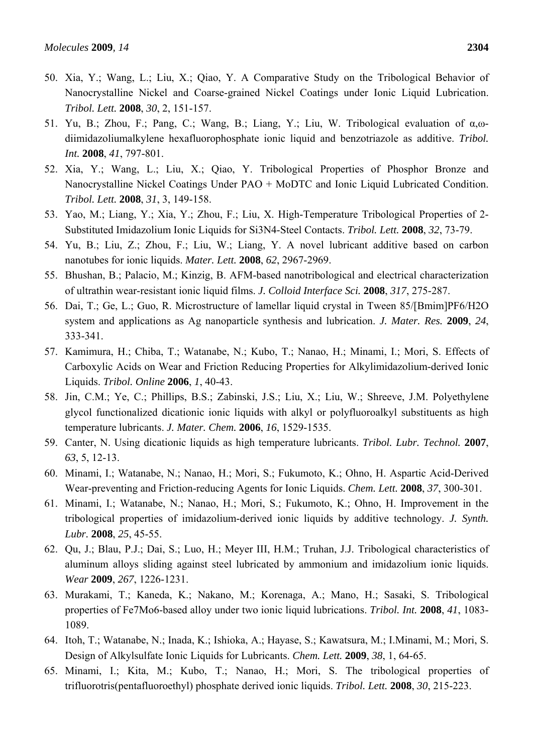- 50. Xia, Y.; Wang, L.; Liu, X.; Qiao, Y. A Comparative Study on the Tribological Behavior of Nanocrystalline Nickel and Coarse-grained Nickel Coatings under Ionic Liquid Lubrication. *Tribol. Lett.* **2008**, *30*, 2, 151-157.
- 51. Yu, B.; Zhou, F.; Pang, C.; Wang, B.; Liang, Y.; Liu, W. Tribological evaluation of α,ωdiimidazoliumalkylene hexafluorophosphate ionic liquid and benzotriazole as additive. *Tribol. Int.* **2008**, *41*, 797-801.
- 52. Xia, Y.; Wang, L.; Liu, X.; Qiao, Y. Tribological Properties of Phosphor Bronze and Nanocrystalline Nickel Coatings Under PAO + MoDTC and Ionic Liquid Lubricated Condition. *Tribol. Lett.* **2008**, *31*, 3, 149-158.
- 53. Yao, M.; Liang, Y.; Xia, Y.; Zhou, F.; Liu, X. High-Temperature Tribological Properties of 2- Substituted Imidazolium Ionic Liquids for Si3N4-Steel Contacts. *Tribol. Lett.* **2008**, *32*, 73-79.
- 54. Yu, B.; Liu, Z.; Zhou, F.; Liu, W.; Liang, Y. A novel lubricant additive based on carbon nanotubes for ionic liquids. *Mater. Lett.* **2008**, *62*, 2967-2969.
- 55. Bhushan, B.; Palacio, M.; Kinzig, B. AFM-based nanotribological and electrical characterization of ultrathin wear-resistant ionic liquid films. *J. Colloid Interface Sci.* **2008**, *317*, 275-287.
- 56. Dai, T.; Ge, L.; Guo, R. Microstructure of lamellar liquid crystal in Tween 85/[Bmim]PF6/H2O system and applications as Ag nanoparticle synthesis and lubrication. *J. Mater. Res.* **2009**, *24*, 333-341.
- 57. Kamimura, H.; Chiba, T.; Watanabe, N.; Kubo, T.; Nanao, H.; Minami, I.; Mori, S. Effects of Carboxylic Acids on Wear and Friction Reducing Properties for Alkylimidazolium-derived Ionic Liquids. *Tribol. Online* **2006**, *1*, 40-43.
- 58. Jin, C.M.; Ye, C.; Phillips, B.S.; Zabinski, J.S.; Liu, X.; Liu, W.; Shreeve, J.M. Polyethylene glycol functionalized dicationic ionic liquids with alkyl or polyfluoroalkyl substituents as high temperature lubricants. *J. Mater. Chem.* **2006**, *16*, 1529-1535.
- 59. Canter, N. Using dicationic liquids as high temperature lubricants. *Tribol. Lubr. Technol.* **2007**, *63*, 5, 12-13.
- 60. Minami, I.; Watanabe, N.; Nanao, H.; Mori, S.; Fukumoto, K.; Ohno, H. Aspartic Acid-Derived Wear-preventing and Friction-reducing Agents for Ionic Liquids. *Chem. Lett.* **2008**, *37*, 300-301.
- 61. Minami, I.; Watanabe, N.; Nanao, H.; Mori, S.; Fukumoto, K.; Ohno, H. Improvement in the tribological properties of imidazolium-derived ionic liquids by additive technology. *J. Synth. Lubr.* **2008**, *25*, 45-55.
- 62. Qu, J.; Blau, P.J.; Dai, S.; Luo, H.; Meyer III, H.M.; Truhan, J.J. Tribological characteristics of aluminum alloys sliding against steel lubricated by ammonium and imidazolium ionic liquids. *Wear* **2009**, *267*, 1226-1231.
- 63. Murakami, T.; Kaneda, K.; Nakano, M.; Korenaga, A.; Mano, H.; Sasaki, S. Tribological properties of Fe7Mo6-based alloy under two ionic liquid lubrications. *Tribol. Int.* **2008**, *41*, 1083- 1089.
- 64. Itoh, T.; Watanabe, N.; Inada, K.; Ishioka, A.; Hayase, S.; Kawatsura, M.; I.Minami, M.; Mori, S. Design of Alkylsulfate Ionic Liquids for Lubricants. *Chem. Lett.* **2009**, *38*, 1, 64-65.
- 65. Minami, I.; Kita, M.; Kubo, T.; Nanao, H.; Mori, S. The tribological properties of trifluorotris(pentafluoroethyl) phosphate derived ionic liquids. *Tribol. Lett.* **2008**, *30*, 215-223.